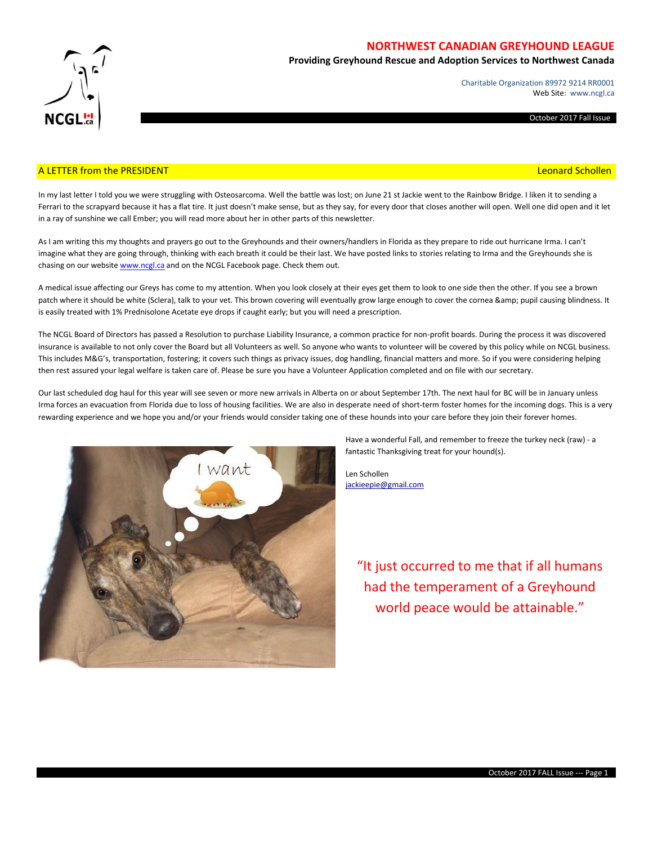

## **NORTHWEST CANADIAN GREYHOUND LEAGUE**

**Providing Greyhound Rescue and Adoption Services to Northwest Canada**

Charitable Organization 89972 9214 RR0001 Web Site: www.ncgl.ca

October 2017 Fall Issue

### A LETTER from the PRESIDENT **Leonard Schollen** and the Control of the Control of the Control of the Control of the Control of the Control of the Control of the Control of the Control of the Control of the Control of the Co

In my last letter I told you we were struggling with Osteosarcoma. Well the battle was lost; on June 21 st Jackie went to the Rainbow Bridge. I liken it to sending a Ferrari to the scrapyard because it has a flat tire. It just doesn't make sense, but as they say, for every door that closes another will open. Well one did open and it let in a ray of sunshine we call Ember; you will read more about her in other parts of this newsletter.

As I am writing this my thoughts and prayers go out to the Greyhounds and their owners/handlers in Florida as they prepare to ride out hurricane Irma. I can't imagine what they are going through, thinking with each breath it could be their last. We have posted links to stories relating to Irma and the Greyhounds she is chasing on our websit[e www.ncgl.ca](http://www.ncgl.ca/) and on the NCGL Facebook page. Check them out.

A medical issue affecting our Greys has come to my attention. When you look closely at their eyes get them to look to one side then the other. If you see a brown patch where it should be white (Sclera), talk to your vet. This brown covering will eventually grow large enough to cover the cornea & amp; pupil causing blindness. It is easily treated with 1% Prednisolone Acetate eye drops if caught early; but you will need a prescription.

The NCGL Board of Directors has passed a Resolution to purchase Liability Insurance, a common practice for non-profit boards. During the process it was discovered insurance is available to not only cover the Board but all Volunteers as well. So anyone who wants to volunteer will be covered by this policy while on NCGL business. This includes M&G's, transportation, fostering; it covers such things as privacy issues, dog handling, financial matters and more. So if you were considering helping then rest assured your legal welfare is taken care of. Please be sure you have a Volunteer Application completed and on file with our secretary.

Our last scheduled dog haul for this year will see seven or more new arrivals in Alberta on or about September 17th. The next haul for BC will be in January unless Irma forces an evacuation from Florida due to loss of housing facilities. We are also in desperate need of short-term foster homes for the incoming dogs. This is a very rewarding experience and we hope you and/or your friends would consider taking one of these hounds into your care before they join their forever homes.



Have a wonderful Fall, and remember to freeze the turkey neck (raw) - a fantastic Thanksgiving treat for your hound(s).

Len Schollen [jackieepie@gmail.com](mailto:jackieepie@gmail.com)

> "It just occurred to me that if all humans had the temperament of a Greyhound world peace would be attainable."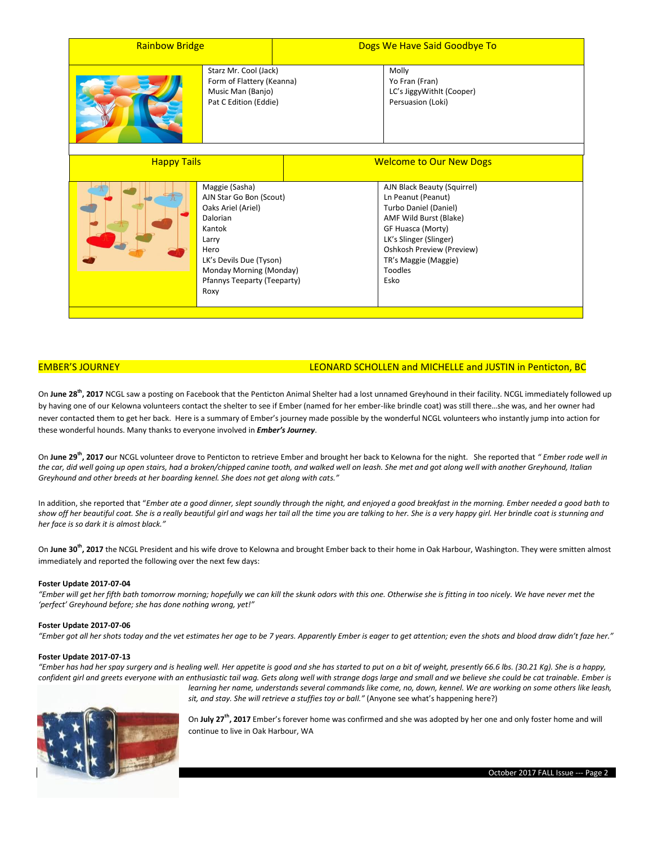| <b>Rainbow Bridge</b>                                                                            |                                                                                                                                                                                                     | Dogs We Have Said Goodbye To   |                                                                                                                                                                                                                                    |
|--------------------------------------------------------------------------------------------------|-----------------------------------------------------------------------------------------------------------------------------------------------------------------------------------------------------|--------------------------------|------------------------------------------------------------------------------------------------------------------------------------------------------------------------------------------------------------------------------------|
| Starz Mr. Cool (Jack)<br>Form of Flattery (Keanna)<br>Music Man (Banjo)<br>Pat C Edition (Eddie) |                                                                                                                                                                                                     |                                | Molly<br>Yo Fran (Fran)<br>LC's JiggyWithIt (Cooper)<br>Persuasion (Loki)                                                                                                                                                          |
| <b>Happy Tails</b>                                                                               |                                                                                                                                                                                                     | <b>Welcome to Our New Dogs</b> |                                                                                                                                                                                                                                    |
|                                                                                                  | Maggie (Sasha)<br>AJN Star Go Bon (Scout)<br>Oaks Ariel (Ariel)<br>Dalorian<br>Kantok<br>Larry<br>Hero<br>LK's Devils Due (Tyson)<br>Monday Morning (Monday)<br>Pfannys Teeparty (Teeparty)<br>Roxy |                                | AJN Black Beauty (Squirrel)<br>Ln Peanut (Peanut)<br>Turbo Daniel (Daniel)<br>AMF Wild Burst (Blake)<br>GF Huasca (Morty)<br>LK's Slinger (Slinger)<br>Oshkosh Preview (Preview)<br>TR's Maggie (Maggie)<br><b>Toodles</b><br>Esko |

### EMBER'S JOURNEY LEONARD SCHOLLEN and MICHELLE and JUSTIN in Penticton, BC

On **June 28th, 2017** NCGL saw a posting on Facebook that the Penticton Animal Shelter had a lost unnamed Greyhound in their facility. NCGL immediately followed up by having one of our Kelowna volunteers contact the shelter to see if Ember (named for her ember-like brindle coat) was still there…she was, and her owner had never contacted them to get her back. Here is a summary of Ember's journey made possible by the wonderful NCGL volunteers who instantly jump into action for these wonderful hounds. Many thanks to everyone involved in *Ember's Journey*.

On **June 29th, 2017 o**ur NCGL volunteer drove to Penticton to retrieve Ember and brought her back to Kelowna for the night. She reported that *" Ember rode well in the car, did well going up open stairs, had a broken/chipped canine tooth, and walked well on leash. She met and got along well with another Greyhound, Italian Greyhound and other breeds at her boarding kennel. She does not get along with cats."*

In addition, she reported that "*Ember ate a good dinner, slept soundly through the night, and enjoyed a good breakfast in the morning. Ember needed a good bath to show off her beautiful coat. She is a really beautiful girl and wags her tail all the time you are talking to her. She is a very happy girl. Her brindle coat is stunning and her face is so dark it is almost black."*

On **June 30th, 2017** the NCGL President and his wife drove to Kelowna and brought Ember back to their home in Oak Harbour, Washington. They were smitten almost immediately and reported the following over the next few days:

### **Foster Update 2017-07-04**

*"Ember will get her fifth bath tomorrow morning; hopefully we can kill the skunk odors with this one. Otherwise she is fitting in too nicely. We have never met the 'perfect' Greyhound before; she has done nothing wrong, yet!"*

### **Foster Update 2017-07-06**

*"Ember got all her shots today and the vet estimates her age to be 7 years. Apparently Ember is eager to get attention; even the shots and blood draw didn't faze her."*

### **Foster Update 2017-07-13**

*"Ember has had her spay surgery and is healing well. Her appetite is good and she has started to put on a bit of weight, presently 66.6 lbs. (30.21 Kg). She is a happy, confident girl and greets everyone with an enthusiastic tail wag. Gets along well with strange dogs large and small and we believe she could be cat trainable. Ember is learning her name, understands several commands like come, no, down, kennel. We are working on some others like leash, sit, and stay. She will retrieve a stuffies toy or ball."* (Anyone see what's happening here?)



On **July 27th, 2017** Ember's forever home was confirmed and she was adopted by her one and only foster home and will continue to live in Oak Harbour, WA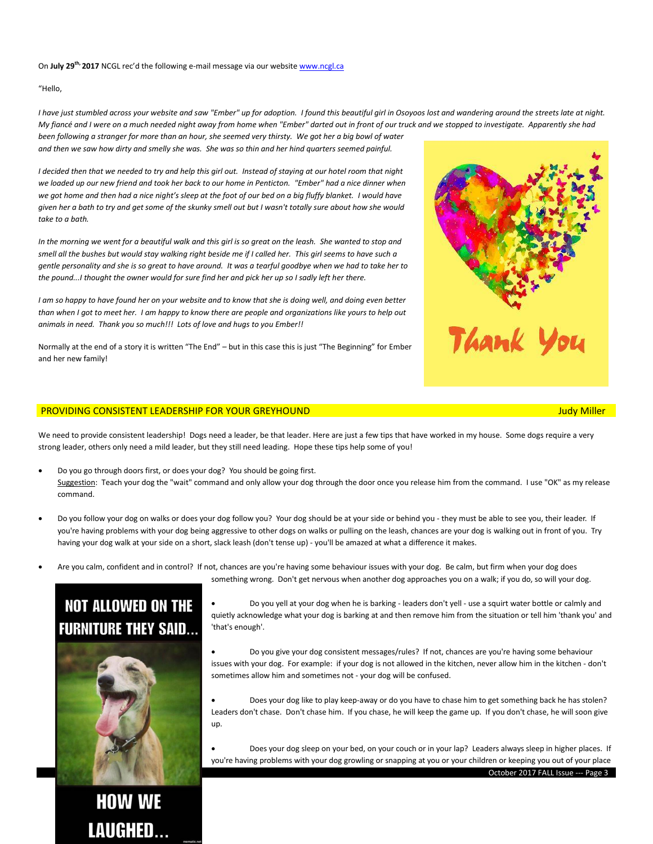### On July 29<sup>th,</sup> 2017 NCGL rec'd the following e-mail message via our websit[e www.ncgl.ca](http://www.ncgl.ca/)

"Hello,

*I have just stumbled across your website and saw "Ember" up for adoption. I found this beautiful girl in Osoyoos lost and wandering around the streets late at night. My fiancé and I were on a much needed night away from home when "Ember" darted out in front of our truck and we stopped to investigate. Apparently she had been following a stranger for more than an hour, she seemed very thirsty. We got her a big bowl of water and then we saw how dirty and smelly she was. She was so thin and her hind quarters seemed painful.*

*I decided then that we needed to try and help this girl out. Instead of staying at our hotel room that night we loaded up our new friend and took her back to our home in Penticton. "Ember" had a nice dinner when we got home and then had a nice night's sleep at the foot of our bed on a big fluffy blanket. I would have given her a bath to try and get some of the skunky smell out but I wasn't totally sure about how she would take to a bath.*

*In the morning we went for a beautiful walk and this girl is so great on the leash. She wanted to stop and smell all the bushes but would stay walking right beside me if I called her. This girl seems to have such a gentle personality and she is so great to have around. It was a tearful goodbye when we had to take her to the pound...I thought the owner would for sure find her and pick her up so I sadly left her there.*

*I am so happy to have found her on your website and to know that she is doing well, and doing even better than when I got to meet her. I am happy to know there are people and organizations like yours to help out animals in need. Thank you so much!!! Lots of love and hugs to you Ember!!*

Normally at the end of a story it is written "The End" – but in this case this is just "The Beginning" for Ember and her new family!

### PROVIDING CONSISTENT LEADERSHIP FOR YOUR GREYHOUND Judy Miller

We need to provide consistent leadership! Dogs need a leader, be that leader. Here are just a few tips that have worked in my house. Some dogs require a very strong leader, others only need a mild leader, but they still need leading. Hope these tips help some of you!

- Do you go through doors first, or does your dog? You should be going first. Suggestion: Teach your dog the "wait" command and only allow your dog through the door once you release him from the command. I use "OK" as my release command.
- Do you follow your dog on walks or does your dog follow you? Your dog should be at your side or behind you they must be able to see you, their leader. If you're having problems with your dog being aggressive to other dogs on walks or pulling on the leash, chances are your dog is walking out in front of you. Try having your dog walk at your side on a short, slack leash (don't tense up) - you'll be amazed at what a difference it makes.
- Are you calm, confident and in control? If not, chances are you're having some behaviour issues with your dog. Be calm, but firm when your dog does something wrong. Don't get nervous when another dog approaches you on a walk; if you do, so will your dog.

## **NOT ALLOWED ON THE FURNITURE THEY SAID...**

**HOW WE LAUGHED...** 

 Do you yell at your dog when he is barking - leaders don't yell - use a squirt water bottle or calmly and quietly acknowledge what your dog is barking at and then remove him from the situation or tell him 'thank you' and 'that's enough'.

 Do you give your dog consistent messages/rules? If not, chances are you're having some behaviour issues with your dog. For example: if your dog is not allowed in the kitchen, never allow him in the kitchen - don't sometimes allow him and sometimes not - your dog will be confused.

 Does your dog like to play keep-away or do you have to chase him to get something back he has stolen? Leaders don't chase. Don't chase him. If you chase, he will keep the game up. If you don't chase, he will soon give up.

 Does your dog sleep on your bed, on your couch or in your lap? Leaders always sleep in higher places. If you're having problems with your dog growling or snapping at you or your children or keeping you out of your place



October 2017 FALL Issue --- Page 3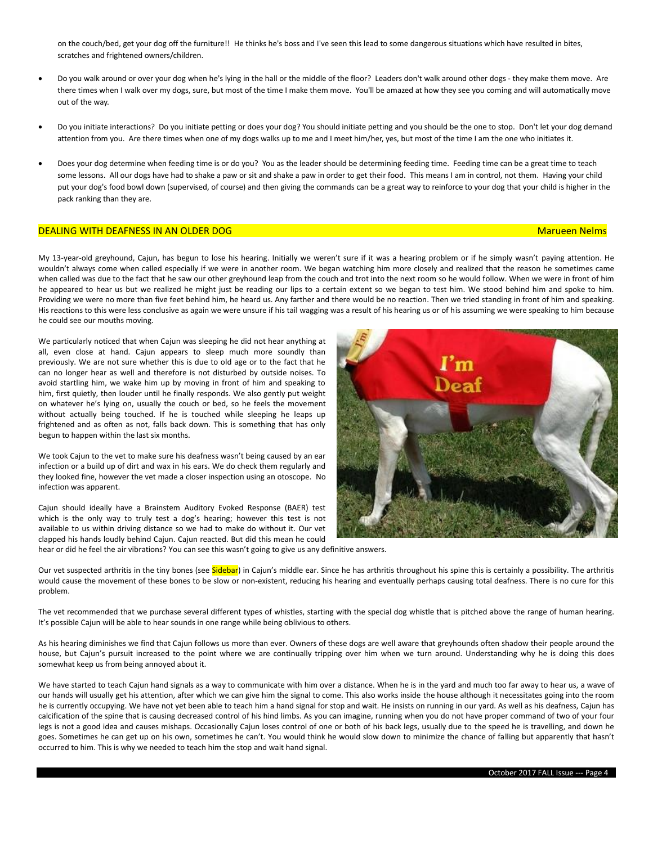on the couch/bed, get your dog off the furniture!! He thinks he's boss and I've seen this lead to some dangerous situations which have resulted in bites, scratches and frightened owners/children.

- Do you walk around or over your dog when he's lying in the hall or the middle of the floor? Leaders don't walk around other dogs they make them move. Are there times when I walk over my dogs, sure, but most of the time I make them move. You'll be amazed at how they see you coming and will automatically move out of the way.
- Do you initiate interactions? Do you initiate petting or does your dog? You should initiate petting and you should be the one to stop. Don't let your dog demand attention from you. Are there times when one of my dogs walks up to me and I meet him/her, yes, but most of the time I am the one who initiates it.
- Does your dog determine when feeding time is or do you? You as the leader should be determining feeding time. Feeding time can be a great time to teach some lessons. All our dogs have had to shake a paw or sit and shake a paw in order to get their food. This means I am in control, not them. Having your child put your dog's food bowl down (supervised, of course) and then giving the commands can be a great way to reinforce to your dog that your child is higher in the pack ranking than they are.

### DEALING WITH DEAFNESS IN AN OLDER DOG MARUE EN DEALER HER STATE HER STATE HER STATE HER STATE HER STATE HER ST

My 13-year-old greyhound, Cajun, has begun to lose his hearing. Initially we weren't sure if it was a hearing problem or if he simply wasn't paying attention. He wouldn't always come when called especially if we were in another room. We began watching him more closely and realized that the reason he sometimes came when called was due to the fact that he saw our other greyhound leap from the couch and trot into the next room so he would follow. When we were in front of him he appeared to hear us but we realized he might just be reading our lips to a certain extent so we began to test him. We stood behind him and spoke to him. Providing we were no more than five feet behind him, he heard us. Any farther and there would be no reaction. Then we tried standing in front of him and speaking. His reactions to this were less conclusive as again we were unsure if his tail wagging was a result of his hearing us or of his assuming we were speaking to him because he could see our mouths moving.

We particularly noticed that when Cajun was sleeping he did not hear anything at all, even close at hand. Cajun appears to sleep much more soundly than previously. We are not sure whether this is due to old age or to the fact that he can no longer hear as well and therefore is not disturbed by outside noises. To avoid startling him, we wake him up by moving in front of him and speaking to him, first quietly, then louder until he finally responds. We also gently put weight on whatever he's lying on, usually the couch or bed, so he feels the movement without actually being touched. If he is touched while sleeping he leaps up frightened and as often as not, falls back down. This is something that has only begun to happen within the last six months.

We took Cajun to the vet to make sure his deafness wasn't being caused by an ear infection or a build up of dirt and wax in his ears. We do check them regularly and they looked fine, however the vet made a closer inspection using an otoscope. No infection was apparent.

Cajun should ideally have a Brainstem Auditory Evoked Response (BAER) test which is the only way to truly test a dog's hearing; however this test is not available to us within driving distance so we had to make do without it. Our vet clapped his hands loudly behind Cajun. Cajun reacted. But did this mean he could



hear or did he feel the air vibrations? You can see this wasn't going to give us any definitive answers.

Our vet suspected arthritis in the tiny bones (see Sidebar) in Cajun's middle ear. Since he has arthritis throughout his spine this is certainly a possibility. The arthritis would cause the movement of these bones to be slow or non-existent, reducing his hearing and eventually perhaps causing total deafness. There is no cure for this problem.

The vet recommended that we purchase several different types of whistles, starting with the special dog whistle that is pitched above the range of human hearing. It's possible Cajun will be able to hear sounds in one range while being oblivious to others.

As his hearing diminishes we find that Cajun follows us more than ever. Owners of these dogs are well aware that greyhounds often shadow their people around the house, but Cajun's pursuit increased to the point where we are continually tripping over him when we turn around. Understanding why he is doing this does somewhat keep us from being annoyed about it.

We have started to teach Cajun hand signals as a way to communicate with him over a distance. When he is in the yard and much too far away to hear us, a wave of our hands will usually get his attention, after which we can give him the signal to come. This also works inside the house although it necessitates going into the room he is currently occupying. We have not yet been able to teach him a hand signal for stop and wait. He insists on running in our yard. As well as his deafness, Cajun has calcification of the spine that is causing decreased control of his hind limbs. As you can imagine, running when you do not have proper command of two of your four legs is not a good idea and causes mishaps. Occasionally Cajun loses control of one or both of his back legs, usually due to the speed he is travelling, and down he goes. Sometimes he can get up on his own, sometimes he can't. You would think he would slow down to minimize the chance of falling but apparently that hasn't occurred to him. This is why we needed to teach him the stop and wait hand signal.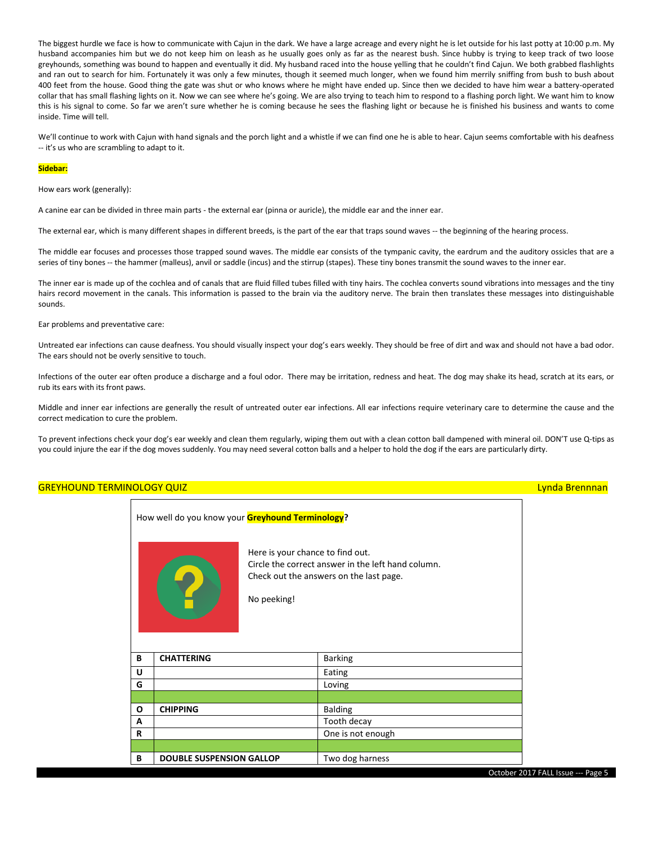The biggest hurdle we face is how to communicate with Cajun in the dark. We have a large acreage and every night he is let outside for his last potty at 10:00 p.m. My husband accompanies him but we do not keep him on leash as he usually goes only as far as the nearest bush. Since hubby is trying to keep track of two loose greyhounds, something was bound to happen and eventually it did. My husband raced into the house yelling that he couldn't find Cajun. We both grabbed flashlights and ran out to search for him. Fortunately it was only a few minutes, though it seemed much longer, when we found him merrily sniffing from bush to bush about 400 feet from the house. Good thing the gate was shut or who knows where he might have ended up. Since then we decided to have him wear a battery-operated collar that has small flashing lights on it. Now we can see where he's going. We are also trying to teach him to respond to a flashing porch light. We want him to know this is his signal to come. So far we aren't sure whether he is coming because he sees the flashing light or because he is finished his business and wants to come inside. Time will tell.

We'll continue to work with Cajun with hand signals and the porch light and a whistle if we can find one he is able to hear. Cajun seems comfortable with his deafness -- it's us who are scrambling to adapt to it.

### **Sidebar:**

How ears work (generally):

A canine ear can be divided in three main parts - the external ear (pinna or auricle), the middle ear and the inner ear.

The external ear, which is many different shapes in different breeds, is the part of the ear that traps sound waves -- the beginning of the hearing process.

The middle ear focuses and processes those trapped sound waves. The middle ear consists of the tympanic cavity, the eardrum and the auditory ossicles that are a series of tiny bones -- the hammer (malleus), anvil or saddle (incus) and the stirrup (stapes). These tiny bones transmit the sound waves to the inner ear.

The inner ear is made up of the cochlea and of canals that are fluid filled tubes filled with tiny hairs. The cochlea converts sound vibrations into messages and the tiny hairs record movement in the canals. This information is passed to the brain via the auditory nerve. The brain then translates these messages into distinguishable sounds.

### Ear problems and preventative care:

Untreated ear infections can cause deafness. You should visually inspect your dog's ears weekly. They should be free of dirt and wax and should not have a bad odor. The ears should not be overly sensitive to touch.

Infections of the outer ear often produce a discharge and a foul odor. There may be irritation, redness and heat. The dog may shake its head, scratch at its ears, or rub its ears with its front paws.

Middle and inner ear infections are generally the result of untreated outer ear infections. All ear infections require veterinary care to determine the cause and the correct medication to cure the problem.

To prevent infections check your dog's ear weekly and clean them regularly, wiping them out with a clean cotton ball dampened with mineral oil. DON'T use Q-tips as you could injure the ear if the dog moves suddenly. You may need several cotton balls and a helper to hold the dog if the ears are particularly dirty.

# October 2017 FALL Issue --- Page 5 GREYHOUND TERMINOLOGY QUIZ LYNDA BRENNING BRENNAND BRENNING BRENNING BRENNING BRENNING BRENNING BRENNING BREN How well do you know your **Greyhound Terminology?** Here is your chance to find out. Circle the correct answer in the left hand column. Check out the answers on the last page. No peeking! **B CHATTERING** Barking **U** Eating **G** Loving **O CHIPPING** Balding **A** Tooth decay **R R** One is not enough **B DOUBLE SUSPENSION GALLOP** Two dog harness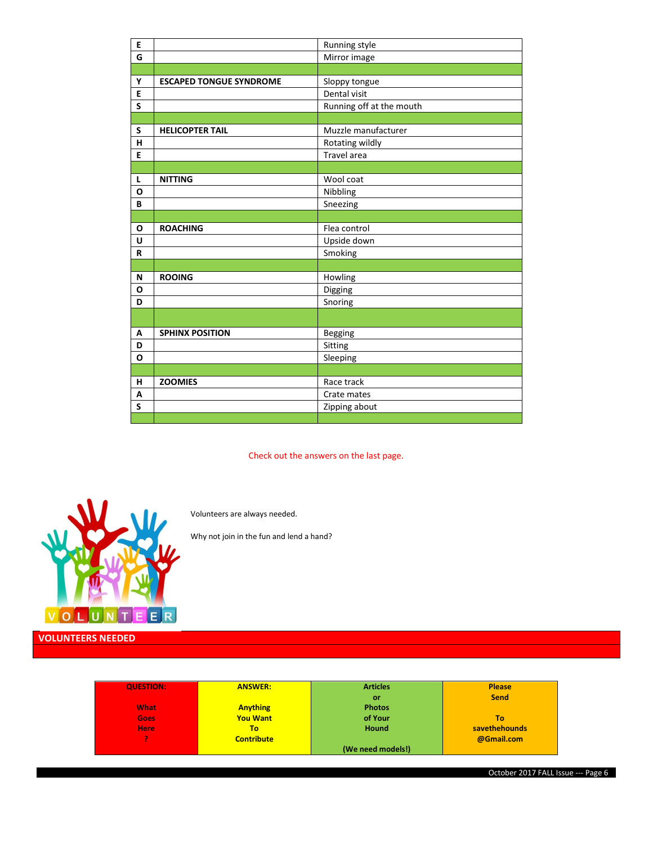| E                       |                                | Running style            |  |
|-------------------------|--------------------------------|--------------------------|--|
| G                       |                                | Mirror image             |  |
|                         |                                |                          |  |
| Υ                       | <b>ESCAPED TONGUE SYNDROME</b> | Sloppy tongue            |  |
| E                       |                                | Dental visit             |  |
| S                       |                                | Running off at the mouth |  |
|                         |                                |                          |  |
| S                       | <b>HELICOPTER TAIL</b>         | Muzzle manufacturer      |  |
| н                       |                                | Rotating wildly          |  |
| E                       |                                | Travel area              |  |
|                         |                                |                          |  |
| L                       | <b>NITTING</b>                 | Wool coat                |  |
| $\mathbf 0$             |                                | Nibbling                 |  |
| B                       |                                | Sneezing                 |  |
|                         |                                |                          |  |
| O                       | <b>ROACHING</b>                | Flea control             |  |
| U                       |                                | Upside down              |  |
| R                       |                                | Smoking                  |  |
|                         |                                |                          |  |
| N                       | <b>ROOING</b>                  | Howling                  |  |
| O                       |                                | Digging                  |  |
| D                       |                                | Snoring                  |  |
|                         |                                |                          |  |
| А                       | <b>SPHINX POSITION</b>         | <b>Begging</b>           |  |
| D                       |                                | Sitting                  |  |
| O                       |                                | Sleeping                 |  |
|                         |                                |                          |  |
| н                       | <b>ZOOMIES</b>                 | Race track               |  |
| A                       |                                | Crate mates              |  |
| $\overline{\mathsf{s}}$ |                                | Zipping about            |  |
|                         |                                |                          |  |

Check out the answers on the last page.

**(We need models!)**



Volunteers are always needed.

Why not join in the fun and lend a hand?

| <b>QUESTION:</b> | <b>ANSWER:</b>    | <b>Articles</b> | <b>Please</b> |
|------------------|-------------------|-----------------|---------------|
|                  |                   | or              | <b>Send</b>   |
| <b>What</b>      |                   | <b>Photos</b>   |               |
|                  | <b>Anything</b>   |                 |               |
| Goes             | <b>You Want</b>   | of Your         | To.           |
| <b>Here</b>      | То                | <b>Hound</b>    | savethehounds |
|                  | <b>Contribute</b> |                 | @Gmail.com    |

October 2017 FALL Issue --- Page 6